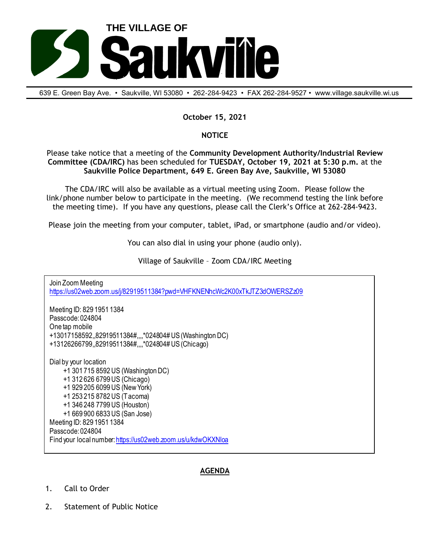

639 E. Green Bay Ave. • Saukville, Wl 53080 • 262-284-9423 • FAX 262-284-9527 • www.village.saukville.wi.us

## **October 15, 2021**

## **NOTICE**

Please take notice that a meeting of the **Community Development Authority/Industrial Review Committee (CDA/IRC)** has been scheduled for **TUESDAY, October 19, 2021 at 5:30 p.m.** at the **Saukville Police Department, 649 E. Green Bay Ave, Saukville, WI 53080**

The CDA/IRC will also be available as a virtual meeting using Zoom. Please follow the link/phone number below to participate in the meeting. (We recommend testing the link before the meeting time). If you have any questions, please call the Clerk's Office at 262-284-9423.

Please join the meeting from your computer, tablet, iPad, or smartphone (audio and/or video).

You can also dial in using your phone (audio only).

Village of Saukville – Zoom CDA/IRC Meeting

Join Zoom Meeting https://us02web.zoom.us/j/82919511384?pwd=VHFKNENhcWc2K00xTkJTZ3dOWERSZz09 Meeting ID: 829 1951 1384 Passcode: 024804 One tap mobile +13017158592,,82919511384#,,,,\*024804# US (Washington DC) +13126266799,,82919511384#,,,,\*024804# US (Chicago) Dial by your location +1 301 715 8592 US (Washington DC) +1 312 626 6799 US (Chicago) +1 929 205 6099 US (New York) +1 253 215 8782 US (Tacoma) +1 346 248 7799 US (Houston) +1 669 900 6833 US (San Jose) Meeting ID: 829 1951 1384 Passcode: 024804 Find your local number: https://us02web.zoom.us/u/kdwOKXNloa

## **AGENDA**

- 1. Call to Order
- 2. Statement of Public Notice